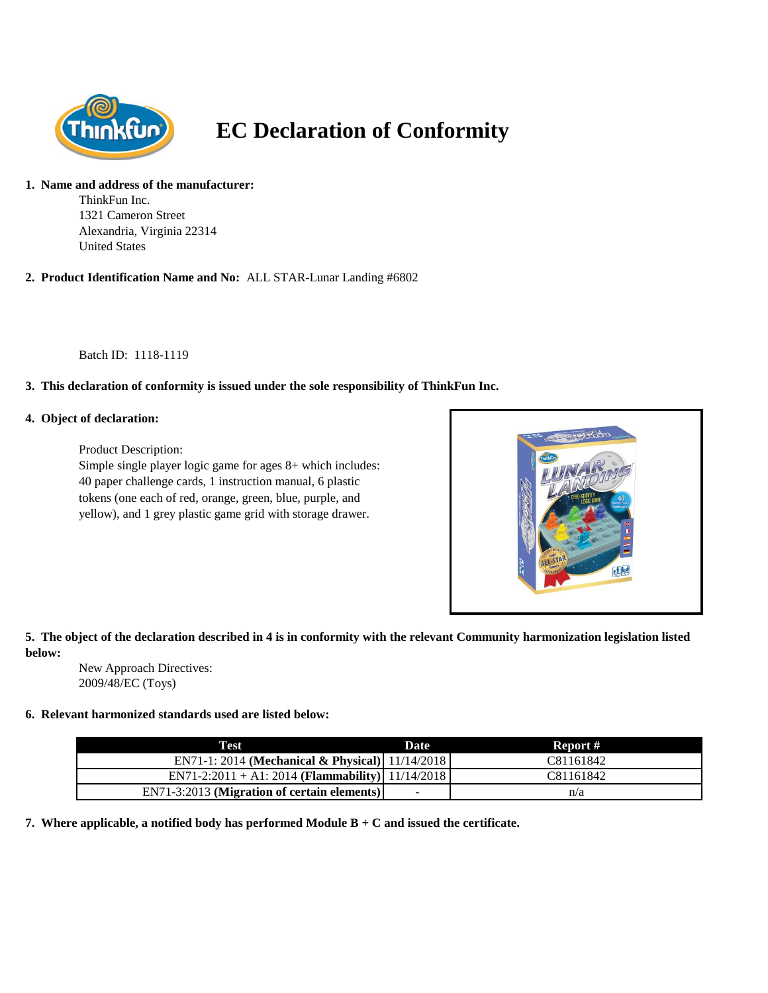

# **EC Declaration of Conformity**

#### **1. Name and address of the manufacturer:**

ThinkFun Inc. 1321 Cameron Street Alexandria, Virginia 22314 United States

**2. Product Identification Name and No:** ALL STAR-Lunar Landing #6802

Batch ID: 1118-1119

## **3. This declaration of conformity is issued under the sole responsibility of ThinkFun Inc.**

#### **4. Object of declaration:**

Product Description: Simple single player logic game for ages 8+ which includes: 40 paper challenge cards, 1 instruction manual, 6 plastic

tokens (one each of red, orange, green, blue, purple, and yellow), and 1 grey plastic game grid with storage drawer.



## **5. The object of the declaration described in 4 is in conformity with the relevant Community harmonization legislation listed below:**

New Approach Directives: 2009/48/EC (Toys)

### **6. Relevant harmonized standards used are listed below:**

| Test                                                | <b>Date</b> | Report #  |
|-----------------------------------------------------|-------------|-----------|
| EN71-1: 2014 (Mechanical & Physical) $ 11/14/2018 $ |             | C81161842 |
| EN71-2:2011 + A1: 2014 (Flammability) 11/14/2018    |             | C81161842 |
| $EN71-3:2013$ (Migration of certain elements)       | $\sim$      | n/a       |

**7. Where applicable, a notified body has performed Module B + C and issued the certificate.**